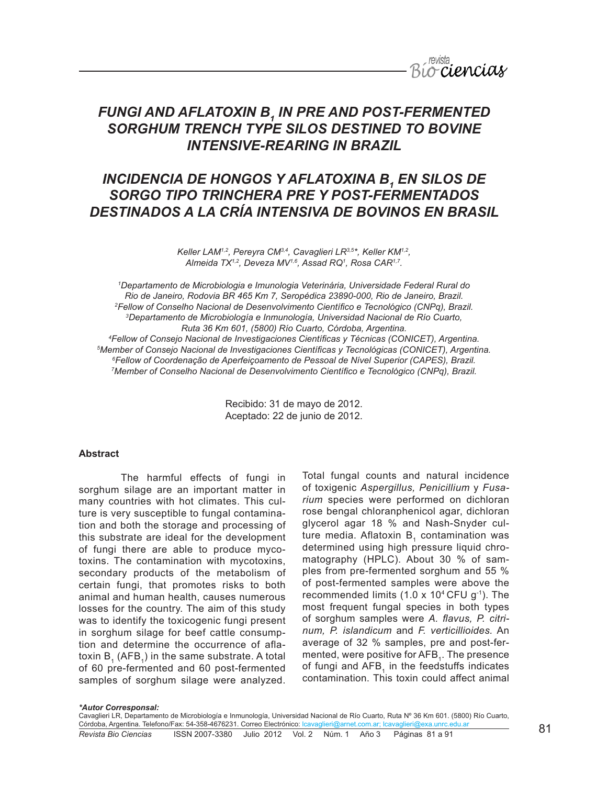

# *FUNGI AND AFLATOXIN B1 IN PRE AND POST-FERMENTED SORGHUM TRENCH TYPE SILOS DESTINED TO BOVINE INTENSIVE-REARING IN BRAZIL*

# *INCIDENCIA DE HONGOS Y AFLATOXINA B<sub>1</sub> EN SILOS DE SORGO TIPO TRINCHERA PRE Y POST-FERMENTADOS DESTINADOS A LA CRÍA INTENSIVA DE BOVINOS EN BRASIL*

*Keller LAM1,2, Pereyra CM3,4, Cavaglieri LR3,5\*, Keller KM1,2, Almeida TX1,2, Deveza MV1,6, Assad RQ1 , Rosa CAR1,7.*

 *Departamento de Microbiologia e Imunologia Veterinária, Universidade Federal Rural do Rio de Janeiro, Rodovia BR 465 Km 7, Seropédica 23890-000, Rio de Janeiro, Brazil. Fellow of Conselho Nacional de Desenvolvimento Científico e Tecnológico (CNPq), Brazil. Departamento de Microbiología e Inmunología, Universidad Nacional de Río Cuarto, Ruta 36 Km 601, (5800) Río Cuarto, Córdoba, Argentina. Fellow of Consejo Nacional de Investigaciones Científicas y Técnicas (CONICET), Argentina. Member of Consejo Nacional de Investigaciones Científicas y Tecnológicas (CONICET), Argentina. Fellow of Coordenação de Aperfeiçoamento de Pessoal de Nível Superior (CAPES), Brazil. Member of Conselho Nacional de Desenvolvimento Científico e Tecnológico (CNPq), Brazil.*

> Recibido: 31 de mayo de 2012. Aceptado: 22 de junio de 2012.

## **Abstract**

The harmful effects of fungi in sorghum silage are an important matter in many countries with hot climates. This culture is very susceptible to fungal contamination and both the storage and processing of this substrate are ideal for the development of fungi there are able to produce mycotoxins. The contamination with mycotoxins, secondary products of the metabolism of certain fungi, that promotes risks to both animal and human health, causes numerous losses for the country. The aim of this study was to identify the toxicogenic fungi present in sorghum silage for beef cattle consumption and determine the occurrence of aflatoxin  $B<sub>1</sub>$  (AFB<sub>4</sub>) in the same substrate. A total of 60 pre-fermented and 60 post-fermented samples of sorghum silage were analyzed. Total fungal counts and natural incidence of toxigenic *Aspergillus, Penicillium* y *Fusarium* species were performed on dichloran rose bengal chloranphenicol agar, dichloran glycerol agar 18 % and Nash-Snyder culture media. Aflatoxin  $B<sub>1</sub>$  contamination was determined using high pressure liquid chromatography (HPLC). About 30 % of samples from pre-fermented sorghum and 55 % of post-fermented samples were above the recommended limits (1.0 x 10<sup>4</sup> CFU  $g^{-1}$ ). The most frequent fungal species in both types of sorghum samples were *A. flavus, P. citrinum, P. islandicum* and *F. verticillioides.* An average of 32 % samples, pre and post-fermented, were positive for AFB<sub>1</sub>. The presence of fungi and AFB, in the feedstuffs indicates contamination. This toxin could affect animal

#### *\*Autor Corresponsal:*

<u>Córdoba, Argentina. Telefono/Fax: 54-358-4676231. Correo Electrónico: Icavaglieri@arnet.com.ar; Icavaglieri@exa.unrc.edu.ar<br>*Revista Bio Ciencias* ISSN 2007-3380 Julio 2012 Vol. 2 Núm. 1 Año 3 Pág</u> Cavaglieri LR, Departamento de Microbiología e Inmunología, Universidad Nacional de Río Cuarto, Ruta Nº 36 Km 601. (5800) Río Cuarto,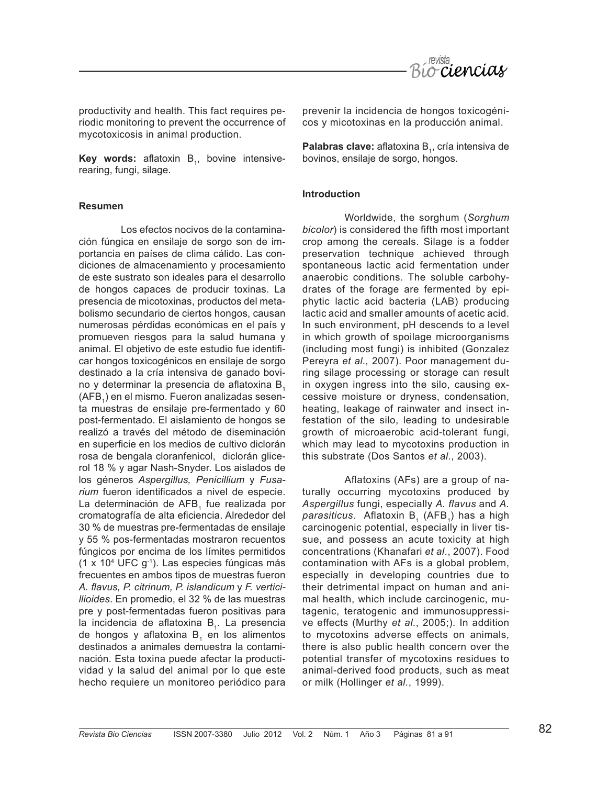

productivity and health. This fact requires periodic monitoring to prevent the occurrence of mycotoxicosis in animal production.

**Key words:** aflatoxin B<sub>1</sub>, bovine intensiverearing, fungi, silage.

# **Resumen**

Los efectos nocivos de la contaminación fúngica en ensilaje de sorgo son de importancia en países de clima cálido. Las condiciones de almacenamiento y procesamiento de este sustrato son ideales para el desarrollo de hongos capaces de producir toxinas. La presencia de micotoxinas, productos del metabolismo secundario de ciertos hongos, causan numerosas pérdidas económicas en el país y promueven riesgos para la salud humana y animal. El objetivo de este estudio fue identificar hongos toxicogénicos en ensilaje de sorgo destinado a la cría intensiva de ganado bovino y determinar la presencia de aflatoxina B, (AFB<sub>1</sub>) en el mismo. Fueron analizadas sesenta muestras de ensilaje pre-fermentado y 60 post-fermentado. El aislamiento de hongos se realizó a través del método de diseminación en superficie en los medios de cultivo diclorán rosa de bengala cloranfenicol, diclorán glicerol 18 % y agar Nash-Snyder. Los aislados de los géneros *Aspergillus, Penicillium* y *Fusarium* fueron identificados a nivel de especie. La determinación de AFB<sub>1</sub> fue realizada por cromatografía de alta eficiencia. Alrededor del 30 % de muestras pre-fermentadas de ensilaje y 55 % pos-fermentadas mostraron recuentos fúngicos por encima de los límites permitidos (1 x 104 UFC g-1). Las especies fúngicas más frecuentes en ambos tipos de muestras fueron *A. flavus, P. citrinum, P. islandicum* y *F. verticillioides*. En promedio, el 32 % de las muestras pre y post-fermentadas fueron positivas para la incidencia de aflatoxina B<sub>1</sub>. La presencia de hongos y aflatoxina B<sub>1</sub> en los alimentos destinados a animales demuestra la contaminación. Esta toxina puede afectar la productividad y la salud del animal por lo que este hecho requiere un monitoreo periódico para

prevenir la incidencia de hongos toxicogénicos y micotoxinas en la producción animal.

**Palabras clave:** aflatoxina B<sub>1</sub>, cría intensiva de bovinos, ensilaje de sorgo, hongos.

#### **Introduction**

Worldwide, the sorghum (*Sorghum bicolor*) is considered the fifth most important crop among the cereals. Silage is a fodder preservation technique achieved through spontaneous lactic acid fermentation under anaerobic conditions. The soluble carbohydrates of the forage are fermented by epiphytic lactic acid bacteria (LAB) producing lactic acid and smaller amounts of acetic acid. In such environment, pH descends to a level in which growth of spoilage microorganisms (including most fungi) is inhibited (Gonzalez Pereyra *et al.,* 2007). Poor management during silage processing or storage can result in oxygen ingress into the silo, causing excessive moisture or dryness, condensation, heating, leakage of rainwater and insect infestation of the silo, leading to undesirable growth of microaerobic acid-tolerant fungi, which may lead to mycotoxins production in this substrate (Dos Santos *et al*., 2003).

Aflatoxins (AFs) are a group of naturally occurring mycotoxins produced by *Aspergillus* fungi, especially *A. flavus* and *A.*  parasiticus. Aflatoxin B<sub>1</sub> (AFB<sub>1</sub>) has a high carcinogenic potential, especially in liver tissue, and possess an acute toxicity at high concentrations (Khanafari *et al*., 2007). Food contamination with AFs is a global problem, especially in developing countries due to their detrimental impact on human and animal health, which include carcinogenic, mutagenic, teratogenic and immunosuppressive effects (Murthy *et al.*, 2005;). In addition to mycotoxins adverse effects on animals, there is also public health concern over the potential transfer of mycotoxins residues to animal-derived food products, such as meat or milk (Hollinger *et al.*, 1999).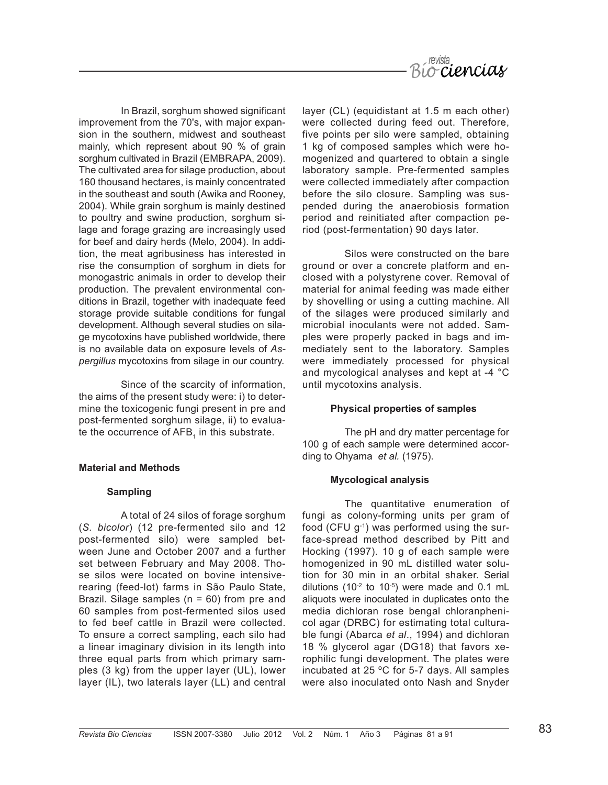

In Brazil, sorghum showed significant improvement from the 70's, with major expansion in the southern, midwest and southeast mainly, which represent about 90 % of grain sorghum cultivated in Brazil (EMBRAPA, 2009). The cultivated area for silage production, about 160 thousand hectares, is mainly concentrated in the southeast and south (Awika and Rooney, 2004). While grain sorghum is mainly destined to poultry and swine production, sorghum silage and forage grazing are increasingly used for beef and dairy herds (Melo, 2004). In addition, the meat agribusiness has interested in rise the consumption of sorghum in diets for monogastric animals in order to develop their production. The prevalent environmental conditions in Brazil, together with inadequate feed storage provide suitable conditions for fungal development. Although several studies on silage mycotoxins have published worldwide, there is no available data on exposure levels of *Aspergillus* mycotoxins from silage in our country.

Since of the scarcity of information, the aims of the present study were: i) to determine the toxicogenic fungi present in pre and post-fermented sorghum silage, ii) to evaluate the occurrence of AFB<sub>1</sub> in this substrate.

#### **Material and Methods**

#### **Sampling**

A total of 24 silos of forage sorghum (*S. bicolor*) (12 pre-fermented silo and 12 post-fermented silo) were sampled between June and October 2007 and a further set between February and May 2008. Those silos were located on bovine intensiverearing (feed-lot) farms in São Paulo State, Brazil. Silage samples (n = 60) from pre and 60 samples from post-fermented silos used to fed beef cattle in Brazil were collected. To ensure a correct sampling, each silo had a linear imaginary division in its length into three equal parts from which primary samples (3 kg) from the upper layer (UL), lower layer (IL), two laterals layer (LL) and central layer (CL) (equidistant at 1.5 m each other) were collected during feed out. Therefore, five points per silo were sampled, obtaining 1 kg of composed samples which were homogenized and quartered to obtain a single laboratory sample. Pre-fermented samples were collected immediately after compaction before the silo closure. Sampling was suspended during the anaerobiosis formation period and reinitiated after compaction period (post-fermentation) 90 days later.

Silos were constructed on the bare ground or over a concrete platform and enclosed with a polystyrene cover. Removal of material for animal feeding was made either by shovelling or using a cutting machine. All of the silages were produced similarly and microbial inoculants were not added. Samples were properly packed in bags and immediately sent to the laboratory. Samples were immediately processed for physical and mycological analyses and kept at -4 °C until mycotoxins analysis.

#### **Physical properties of samples**

The pH and dry matter percentage for 100 g of each sample were determined according to Ohyama *et al.* (1975).

#### **Mycological analysis**

The quantitative enumeration of fungi as colony-forming units per gram of food (CFU  $g^{-1}$ ) was performed using the surface-spread method described by Pitt and Hocking (1997). 10 g of each sample were homogenized in 90 mL distilled water solution for 30 min in an orbital shaker. Serial dilutions (10 $^{-2}$  to 10 $^{-5}$ ) were made and 0.1 mL aliquots were inoculated in duplicates onto the media dichloran rose bengal chloranphenicol agar (DRBC) for estimating total culturable fungi (Abarca *et al*., 1994) and dichloran 18 % glycerol agar (DG18) that favors xerophilic fungi development. The plates were incubated at 25 ºC for 5-7 days. All samples were also inoculated onto Nash and Snyder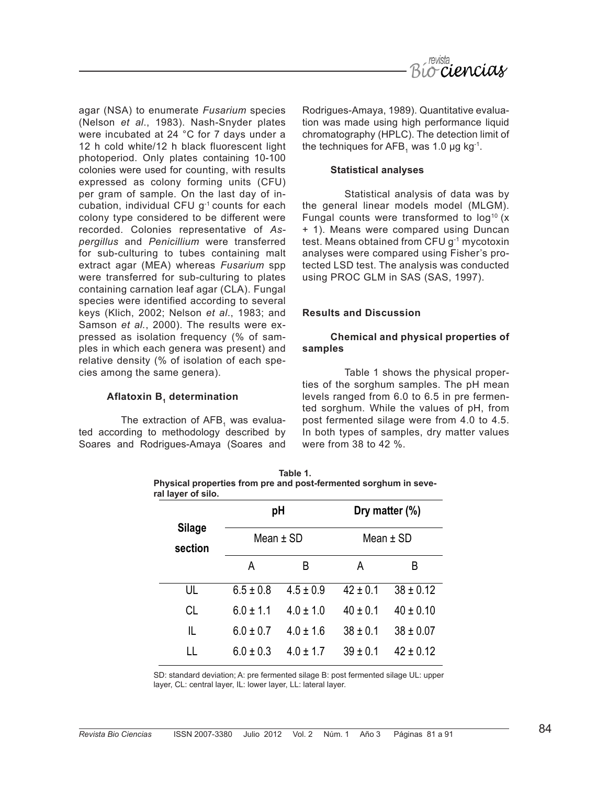

agar (NSA) to enumerate *Fusarium* species (Nelson *et al*., 1983). Nash-Snyder plates were incubated at 24 °C for 7 days under a 12 h cold white/12 h black fluorescent light photoperiod. Only plates containing 10-100 colonies were used for counting, with results expressed as colony forming units (CFU) per gram of sample. On the last day of incubation, individual CFU g<sup>-1</sup> counts for each colony type considered to be different were recorded. Colonies representative of *Aspergillus* and *Penicillium* were transferred for sub-culturing to tubes containing malt extract agar (MEA) whereas *Fusarium* spp were transferred for sub-culturing to plates containing carnation leaf agar (CLA). Fungal species were identified according to several keys (Klich, 2002; Nelson *et al*., 1983; and Samson *et al.*, 2000). The results were expressed as isolation frequency (% of samples in which each genera was present) and relative density (% of isolation of each species among the same genera).

# **Aflatoxin B, determination**

The extraction of  $AFB<sub>1</sub>$  was evaluated according to methodology described by Soares and Rodrigues-Amaya (Soares and

Rodrigues-Amaya, 1989). Quantitative evaluation was made using high performance liquid chromatography (HPLC). The detection limit of the techniques for AFB<sub>1</sub> was 1.0 µg kg<sup>-1</sup>.

#### **Statistical analyses**

Statistical analysis of data was by the general linear models model (MLGM). Fungal counts were transformed to  $log<sup>10</sup>$  (x + 1). Means were compared using Duncan test. Means obtained from CFU g-1 mycotoxin analyses were compared using Fisher's protected LSD test. The analysis was conducted using PROC GLM in SAS (SAS, 1997).

# **Results and Discussion**

# **Chemical and physical properties of samples**

Table 1 shows the physical properties of the sorghum samples. The pH mean levels ranged from 6.0 to 6.5 in pre fermented sorghum. While the values of pH, from post fermented silage were from 4.0 to 4.5. In both types of samples, dry matter values were from 38 to 42 %.

| ral layer of silo.       |                   |               |                                  |               |
|--------------------------|-------------------|---------------|----------------------------------|---------------|
|                          | рH<br>Mean $±$ SD |               | Dry matter $(\%)$<br>Mean $±$ SD |               |
| <b>Silage</b><br>section |                   |               |                                  |               |
|                          | А                 | B             | A                                | B             |
| UL                       | $6.5 \pm 0.8$     | $4.5 \pm 0.9$ | $42 \pm 0.1$                     | $38 \pm 0.12$ |
| CL                       | $6.0 \pm 1.1$     | $4.0 \pm 1.0$ | $40 \pm 0.1$                     | $40 \pm 0.10$ |
| IL                       | $6.0 \pm 0.7$     | $4.0 \pm 1.6$ | $38 \pm 0.1$                     | $38 \pm 0.07$ |
| LL                       | $6.0 \pm 0.3$     | $4.0 \pm 1.7$ | $39 \pm 0.1$                     | $42 \pm 0.12$ |

| Table 1.                                                         |  |  |  |  |  |  |  |  |
|------------------------------------------------------------------|--|--|--|--|--|--|--|--|
| Physical properties from pre and post-fermented sorghum in seve- |  |  |  |  |  |  |  |  |
| ral laver of silo.                                               |  |  |  |  |  |  |  |  |

SD: standard deviation; A: pre fermented silage B: post fermented silage UL: upper layer, CL: central layer, IL: lower layer, LL: lateral layer.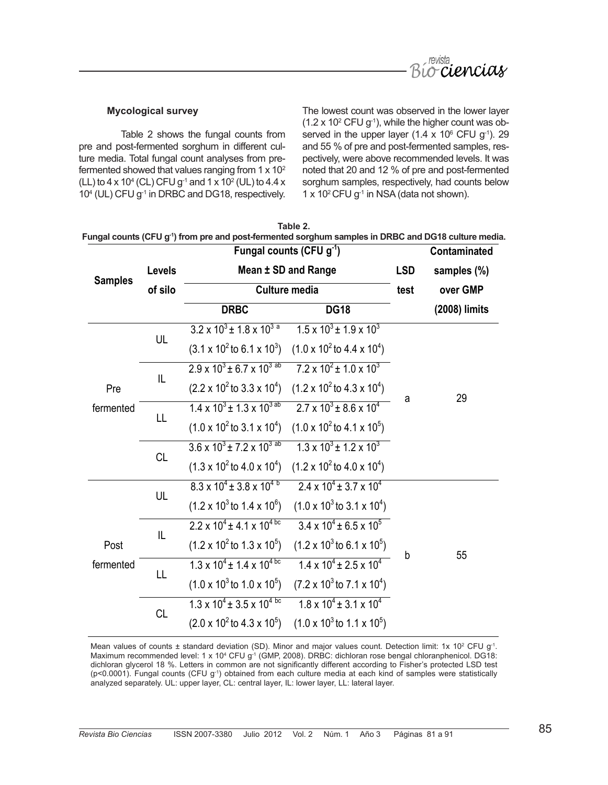

# **Mycological survey**

Table 2 shows the fungal counts from pre and post-fermented sorghum in different culture media. Total fungal count analyses from prefermented showed that values ranging from  $1 \times 10^2$ (LL) to 4 x 10<sup>4</sup> (CL) CFU g<sup>-1</sup> and 1 x 10<sup>2</sup> (UL) to 4.4 x 104 (UL) CFU g-1 in DRBC and DG18, respectively. The lowest count was observed in the lower layer  $(1.2 \times 10^2 \text{ CFU g}^{-1})$ , while the higher count was observed in the upper layer (1.4  $\times$  10 $^{\circ}$  CFU g<sup>-1</sup>). 29 and 55 % of pre and post-fermented samples, respectively, were above recommended levels. It was noted that 20 and 12 % of pre and post-fermented sorghum samples, respectively, had counts below 1 x 10<sup>2</sup> CFU  $q^{-1}$  in NSA (data not shown).

|                   |           | Fungal counts (CFU g <sup>-1</sup> ) from pre and post-fermented sorghum samples in DRBC and DG18 culture media. | Table 2.                                        |   |               |
|-------------------|-----------|------------------------------------------------------------------------------------------------------------------|-------------------------------------------------|---|---------------|
|                   |           | Contaminated                                                                                                     |                                                 |   |               |
| <b>Samples</b>    | Levels    | Mean ± SD and Range<br><b>Culture media</b>                                                                      |                                                 |   | samples (%)   |
|                   | of silo   |                                                                                                                  |                                                 |   | over GMP      |
|                   |           | <b>DRBC</b>                                                                                                      | <b>DG18</b>                                     |   | (2008) limits |
| Pre<br>fermented  | UL        | $3.2 \times 10^3 \pm 1.8 \times 10^{3}$ <sup>a</sup>                                                             | $1.5 \times 10^3 \pm 1.9 \times 10^3$           |   | 29            |
|                   |           | $(3.1 \times 10^2 \text{ to } 6.1 \times 10^3)$                                                                  | $(1.0 \times 10^2 \text{ to } 4.4 \times 10^4)$ |   |               |
|                   | IL        | $2.9 \times 10^{3}$ ± 6.7 x 10 <sup>3 ab</sup>                                                                   | $7.2 \times 10^2 \pm 1.0 \times 10^3$           |   |               |
|                   |           | $(2.2 \times 10^2 \text{ to } 3.3 \times 10^4)$                                                                  | $(1.2 \times 10^2 \text{ to } 4.3 \times 10^4)$ |   |               |
|                   | LL        | $1.4 \times 10^{3}$ ± 1.3 x 10 <sup>3 ab</sup>                                                                   | $2.7 \times 10^3$ + 8.6 x 10 <sup>4</sup>       | a |               |
|                   |           | $(1.0 \times 10^2 \text{ to } 3.1 \times 10^4)$                                                                  | $(1.0 \times 10^2 \text{ to } 4.1 \times 10^5)$ |   |               |
|                   | <b>CL</b> | $3.6 \times 10^{3}$ ± 7.2 x 10 <sup>3 ab</sup>                                                                   | $1.3 \times 10^3 \pm 1.2 \times 10^3$           |   |               |
|                   |           | $(1.3 \times 10^2 \text{ to } 4.0 \times 10^4)$                                                                  | $(1.2 \times 10^2 \text{ to } 4.0 \times 10^4)$ |   |               |
| Post<br>fermented | UL        | $8.3 \times 10^{4} \pm 3.8 \times 10^{4}$                                                                        | $2.4 \times 10^4 \pm 3.7 \times 10^4$           |   |               |
|                   |           | $(1.2 \times 10^3 \text{ to } 1.4 \times 10^6)$                                                                  | $(1.0 \times 10^3 \text{ to } 3.1 \times 10^4)$ |   | 55            |
|                   | IL        | $2.2 \times 10^4 \pm 4.1 \times 10^{4}$                                                                          | $3.4 \times 10^4 \pm 6.5 \times 10^5$           |   |               |
|                   |           | $(1.2 \times 10^2 \text{ to } 1.3 \times 10^5)$                                                                  | $(1.2 \times 10^3 \text{ to } 6.1 \times 10^5)$ |   |               |
|                   | LL        | $1.3 \times 10^{4} \pm 1.4 \times 10^{4}$ bc                                                                     | $1.4 \times 10^4 \pm 2.5 \times 10^4$           | b |               |
|                   |           | $(1.0 \times 10^3 \text{ to } 1.0 \times 10^5)$                                                                  | $(7.2 \times 10^3 \text{ to } 7.1 \times 10^4)$ |   |               |
|                   | <b>CL</b> | $1.3 \times 10^{4} \pm 3.5 \times 10^{4}$ bc                                                                     | $1.8 \times 10^4 \pm 3.1 \times 10^4$           |   |               |
|                   |           | $(2.0 \times 10^2 \text{ to } 4.3 \times 10^5)$                                                                  | $(1.0 \times 10^3 \text{ to } 1.1 \times 10^5)$ |   |               |

Mean values of counts  $\pm$  standard deviation (SD). Minor and major values count. Detection limit: 1x 10<sup>2</sup> CFU g<sup>-1</sup>. Maximum recommended level: 1 x 10<sup>4</sup> CFU g<sup>-1</sup> (GMP, 2008). DRBC: dichloran rose bengal chloranphenicol. DG18: dichloran glycerol 18 %. Letters in common are not significantly different according to Fisher's protected LSD test (p<0.0001). Fungal counts (CFU g-1) obtained from each culture media at each kind of samples were statistically analyzed separately. UL: upper layer, CL: central layer, IL: lower layer, LL: lateral layer.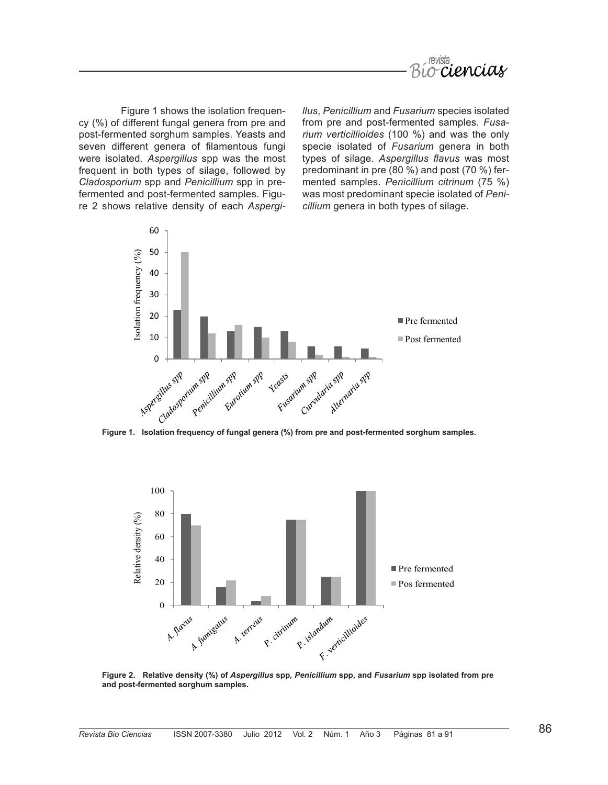

Figure 1 shows the isolation frequency (%) of different fungal genera from pre and post-fermented sorghum samples. Yeasts and seven different genera of filamentous fungi were isolated. *Aspergillus* spp was the most frequent in both types of silage, followed by *Cladosporium* spp and *Penicillium* spp in prefermented and post-fermented samples. Figure 2 shows relative density of each *Aspergi-* *llus*, *Penicillium* and *Fusarium* species isolated from pre and post-fermented samples. *Fusarium verticillioides* (100 %) and was the only specie isolated of *Fusarium* genera in both types of silage. *Aspergillus flavus* was most predominant in pre (80 %) and post (70 %) fermented samples. *Penicillium citrinum* (75 %) was most predominant specie isolated of *Penicillium* genera in both types of silage.





**and post-fermented sorghum samples.**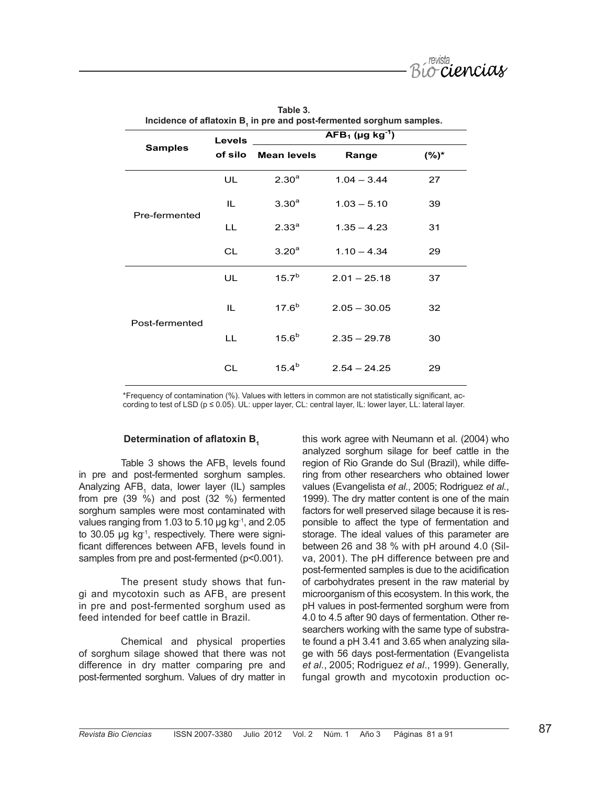

|                | <b>Levels</b><br>of silo | incidence of anatoxin B, in pre and post-fermented sorgnum samples.<br>$AFB_1$ (µg kg <sup>-1</sup> ) |                |         |  |
|----------------|--------------------------|-------------------------------------------------------------------------------------------------------|----------------|---------|--|
| <b>Samples</b> |                          | <b>Mean levels</b>                                                                                    | Range          | $(%)^*$ |  |
| Pre-fermented  | UL.                      | $2.30^{a}$                                                                                            | $1.04 - 3.44$  | 27      |  |
|                | IL.                      | 3.30 <sup>a</sup>                                                                                     | $1.03 - 5.10$  | 39      |  |
|                | LL                       | 2.33 <sup>a</sup>                                                                                     | $1.35 - 4.23$  | 31      |  |
|                | <b>CL</b>                | 3.20 <sup>a</sup>                                                                                     | $1.10 - 4.34$  | 29      |  |
| Post-fermented | UL.                      | 15.7 <sup>b</sup>                                                                                     | $2.01 - 25.18$ | 37      |  |
|                | IL.                      | $17.6^{b}$                                                                                            | $2.05 - 30.05$ | 32      |  |
|                | LL                       | $15.6^{b}$                                                                                            | $2.35 - 29.78$ | 30      |  |
|                | CL                       | $15.4^{b}$                                                                                            | $2.54 - 24.25$ | 29      |  |

**Table 3. Incidence of aflatoxin B<sup>1</sup> in pre and post-fermented sorghum samples.**

\*Frequency of contamination (%). Values with letters in common are not statistically significant, according to test of LSD (p ≤ 0.05). UL: upper layer, CL: central layer, IL: lower layer, LL: lateral layer.

#### **Determination of aflatoxin B<sup>1</sup>**

Table 3 shows the  $AFB<sub>1</sub>$  levels found in pre and post-fermented sorghum samples. Analyzing AFB<sub>1</sub> data, lower layer (IL) samples from pre (39 %) and post (32 %) fermented sorghum samples were most contaminated with values ranging from 1.03 to 5.10  $\mu$ g kg<sup>-1</sup>, and 2.05 to 30.05  $\mu$ g kg<sup>-1</sup>, respectively. There were significant differences between  ${\sf AFB}_1$  levels found in samples from pre and post-fermented (p<0.001).

The present study shows that fungi and mycotoxin such as AFB, are present in pre and post-fermented sorghum used as feed intended for beef cattle in Brazil.

Chemical and physical properties of sorghum silage showed that there was not difference in dry matter comparing pre and post-fermented sorghum. Values of dry matter in this work agree with Neumann et al. (2004) who analyzed sorghum silage for beef cattle in the region of Rio Grande do Sul (Brazil), while differing from other researchers who obtained lower values (Evangelista *et al*., 2005; Rodriguez *et al.*, 1999). The dry matter content is one of the main factors for well preserved silage because it is responsible to affect the type of fermentation and storage. The ideal values of this parameter are between 26 and 38 % with pH around 4.0 (Silva, 2001). The pH difference between pre and post-fermented samples is due to the acidification of carbohydrates present in the raw material by microorganism of this ecosystem. In this work, the pH values in post-fermented sorghum were from 4.0 to 4.5 after 90 days of fermentation. Other researchers working with the same type of substrate found a pH 3.41 and 3.65 when analyzing silage with 56 days post-fermentation (Evangelista *et al*., 2005; Rodriguez *et al*., 1999). Generally, fungal growth and mycotoxin production oc-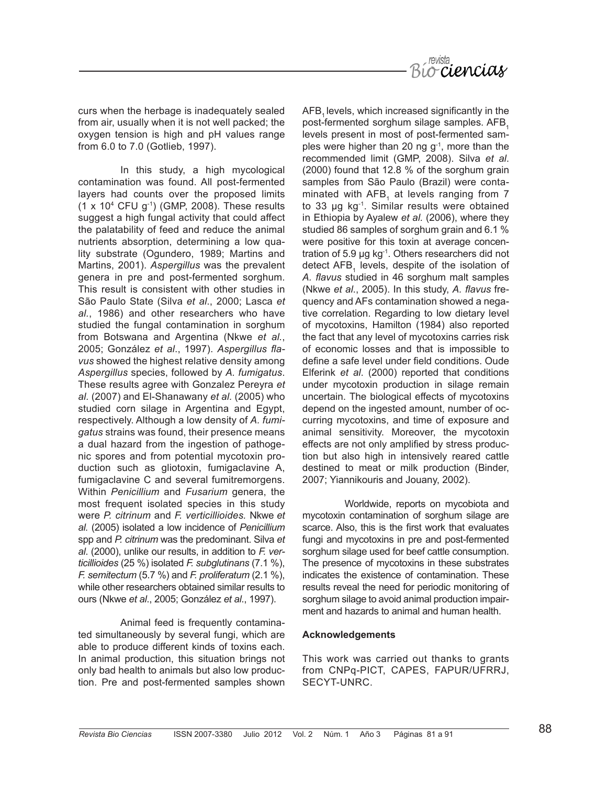

curs when the herbage is inadequately sealed from air, usually when it is not well packed; the oxygen tension is high and pH values range from 6.0 to 7.0 (Gotlieb, 1997).

In this study, a high mycological contamination was found. All post-fermented layers had counts over the proposed limits  $(1 \times 10^4 \text{ CFU g}^{-1})$  (GMP, 2008). These results suggest a high fungal activity that could affect the palatability of feed and reduce the animal nutrients absorption, determining a low quality substrate (Ogundero, 1989; Martins and Martins, 2001). *Aspergillus* was the prevalent genera in pre and post-fermented sorghum. This result is consistent with other studies in São Paulo State (Silva *et al*., 2000; Lasca *et al.*, 1986) and other researchers who have studied the fungal contamination in sorghum from Botswana and Argentina (Nkwe *et al.*, 2005; González *et al*., 1997). *Aspergillus flavus* showed the highest relative density among *Aspergillus* species, followed by *A. fumigatus*. These results agree with Gonzalez Pereyra *et al.* (2007) and El-Shanawany *et al.* (2005) who studied corn silage in Argentina and Egypt, respectively. Although a low density of *A. fumigatus* strains was found, their presence means a dual hazard from the ingestion of pathogenic spores and from potential mycotoxin production such as gliotoxin, fumigaclavine A, fumigaclavine C and several fumitremorgens. Within *Penicillium* and *Fusarium* genera, the most frequent isolated species in this study were *P. citrinum* and *F. verticillioides.* Nkwe *et al.* (2005) isolated a low incidence of *Penicillium*  spp and *P. citrinum* was the predominant. Silva *et al*. (2000), unlike our results, in addition to *F. verticillioides* (25 %) isolated *F. subglutinans* (7.1 %), *F. semitectum* (5.7 %) and *F. proliferatum* (2.1 %), while other researchers obtained similar results to ours (Nkwe *et al*., 2005; González *et al*., 1997).

Animal feed is frequently contaminated simultaneously by several fungi, which are able to produce different kinds of toxins each. In animal production, this situation brings not only bad health to animals but also low production. Pre and post-fermented samples shown

AFB, levels, which increased significantly in the post-fermented sorghum silage samples. AFB, levels present in most of post-fermented samples were higher than 20 ng  $q^{-1}$ , more than the recommended limit (GMP, 2008). Silva *et al*. (2000) found that 12.8 % of the sorghum grain samples from São Paulo (Brazil) were contaminated with AFB<sub>1</sub> at levels ranging from 7 to 33 µg kg-1. Similar results were obtained in Ethiopia by Ayalew *et al.* (2006), where they studied 86 samples of sorghum grain and 6.1 % were positive for this toxin at average concentration of 5.9 µg kg-1. Others researchers did not detect  $AFB<sub>1</sub>$  levels, despite of the isolation of *A. flavus* studied in 46 sorghum malt samples (Nkwe *et al*., 2005). In this study, *A. flavus* frequency and AFs contamination showed a negative correlation. Regarding to low dietary level of mycotoxins, Hamilton (1984) also reported the fact that any level of mycotoxins carries risk of economic losses and that is impossible to define a safe level under field conditions. Oude Elferink *et al*. (2000) reported that conditions under mycotoxin production in silage remain uncertain. The biological effects of mycotoxins depend on the ingested amount, number of occurring mycotoxins, and time of exposure and animal sensitivity. Moreover, the mycotoxin effects are not only amplified by stress production but also high in intensively reared cattle destined to meat or milk production (Binder, 2007; Yiannikouris and Jouany, 2002).

Worldwide, reports on mycobiota and mycotoxin contamination of sorghum silage are scarce. Also, this is the first work that evaluates fungi and mycotoxins in pre and post-fermented sorghum silage used for beef cattle consumption. The presence of mycotoxins in these substrates indicates the existence of contamination. These results reveal the need for periodic monitoring of sorghum silage to avoid animal production impairment and hazards to animal and human health.

#### **Acknowledgements**

This work was carried out thanks to grants from CNPq-PICT, CAPES, FAPUR/UFRRJ, SECYT-UNRC.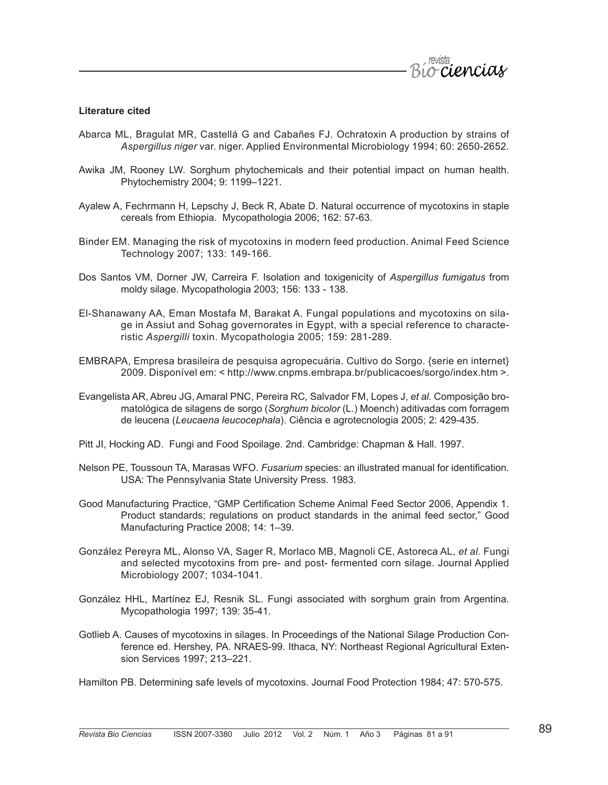

#### **Literature cited**

- Abarca ML, Bragulat MR, Castellá G and Cabañes FJ. Ochratoxin A production by strains of *Aspergillus niger* var. niger. Applied Environmental Microbiology 1994; 60: 2650-2652.
- Awika JM, Rooney LW. Sorghum phytochemicals and their potential impact on human health. Phytochemistry 2004; 9: 1199–1221.
- Ayalew A, Fechrmann H, Lepschy J, Beck R, Abate D. Natural occurrence of mycotoxins in staple cereals from Ethiopia. Mycopathologia 2006; 162: 57-63.
- Binder EM. Managing the risk of mycotoxins in modern feed production. Animal Feed Science Technology 2007; 133: 149-166.
- Dos Santos VM, Dorner JW, Carreira F. Isolation and toxigenicity of *Aspergillus fumigatus* from moldy silage. Mycopathologia 2003; 156: 133 - 138.
- El-Shanawany AA, Eman Mostafa M, Barakat A. Fungal populations and mycotoxins on silage in Assiut and Sohag governorates in Egypt, with a special reference to characteristic *Aspergilli* toxin. Mycopathologia 2005; 159: 281-289.
- EMBRAPA, Empresa brasileira de pesquisa agropecuária. Cultivo do Sorgo. {serie en internet} 2009. Disponível em: < http://www.cnpms.embrapa.br/publicacoes/sorgo/index.htm >.
- Evangelista AR, Abreu JG, Amaral PNC, Pereira RC, Salvador FM, Lopes J, *et al.* Composição bromatológica de silagens de sorgo (*Sorghum bicolor* (L.) Moench) aditivadas com forragem de leucena (*Leucaena leucocephala*). Ciência e agrotecnologia 2005; 2: 429-435.
- Pitt JI, Hocking AD. Fungi and Food Spoilage. 2nd. Cambridge: Chapman & Hall. 1997.
- Nelson PE, Toussoun TA, Marasas WFO. *Fusarium* species: an illustrated manual for identification. USA: The Pennsylvania State University Press. 1983.
- Good Manufacturing Practice, "GMP Certification Scheme Animal Feed Sector 2006, Appendix 1. Product standards; regulations on product standards in the animal feed sector," Good Manufacturing Practice 2008; 14: 1–39.
- González Pereyra ML, Alonso VA, Sager R, Morlaco MB, Magnoli CE, Astoreca AL, *et al.* Fungi and selected mycotoxins from pre- and post- fermented corn silage. Journal Applied Microbiology 2007; 1034-1041.
- González HHL, Martínez EJ, Resnik SL. Fungi associated with sorghum grain from Argentina. Mycopathologia 1997; 139: 35-41.
- Gotlieb A. Causes of mycotoxins in silages. In Proceedings of the National Silage Production Conference ed. Hershey, PA. NRAES-99. Ithaca, NY: Northeast Regional Agricultural Extension Services 1997; 213–221.

Hamilton PB. Determining safe levels of mycotoxins. Journal Food Protection 1984; 47: 570-575.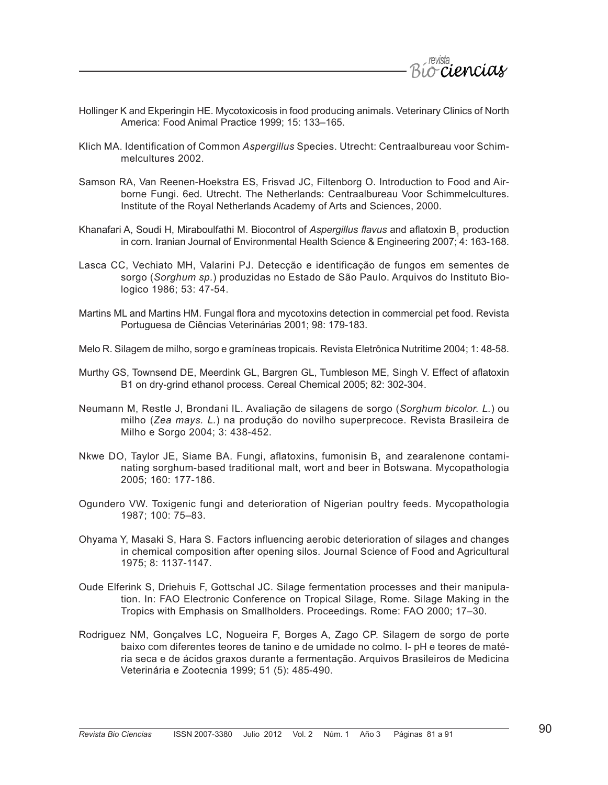

- Hollinger K and Ekperingin HE. Mycotoxicosis in food producing animals. Veterinary Clinics of North America: Food Animal Practice 1999; 15: 133–165.
- Klich MA. Identification of Common *Aspergillus* Species. Utrecht: Centraalbureau voor Schimmelcultures 2002.
- Samson RA, Van Reenen-Hoekstra ES, Frisvad JC, Filtenborg O. Introduction to Food and Airborne Fungi. 6ed. Utrecht. The Netherlands: Centraalbureau Voor Schimmelcultures. Institute of the Royal Netherlands Academy of Arts and Sciences, 2000.
- Khanafari A, Soudi H, Miraboulfathi M. Biocontrol of *Aspergillus flavus* and aflatoxin B1 production in corn. Iranian Journal of Environmental Health Science & Engineering 2007; 4: 163-168.
- Lasca CC, Vechiato MH, Valarini PJ. Detecção e identificação de fungos em sementes de sorgo (*Sorghum sp.*) produzidas no Estado de São Paulo. Arquivos do Instituto Biologico 1986; 53: 47-54.
- Martins ML and Martins HM. Fungal flora and mycotoxins detection in commercial pet food. Revista Portuguesa de Ciências Veterinárias 2001; 98: 179-183.
- Melo R. Silagem de milho, sorgo e gramíneas tropicais. Revista Eletrônica Nutritime 2004; 1: 48-58.
- Murthy GS, Townsend DE, Meerdink GL, Bargren GL, Tumbleson ME, Singh V. Effect of aflatoxin B1 on dry-grind ethanol process. Cereal Chemical 2005; 82: 302-304.
- Neumann M, Restle J, Brondani IL. Avaliação de silagens de sorgo (*Sorghum bicolor. L.*) ou milho (*Zea mays. L.*) na produção do novilho superprecoce. Revista Brasileira de Milho e Sorgo 2004; 3: 438-452.
- Nkwe DO, Taylor JE, Siame BA. Fungi, aflatoxins, fumonisin B, and zearalenone contaminating sorghum-based traditional malt, wort and beer in Botswana. Mycopathologia 2005; 160: 177-186.
- Ogundero VW. Toxigenic fungi and deterioration of Nigerian poultry feeds. Mycopathologia 1987; 100: 75–83.
- Ohyama Y, Masaki S, Hara S. Factors influencing aerobic deterioration of silages and changes in chemical composition after opening silos. Journal Science of Food and Agricultural 1975; 8: 1137-1147.
- Oude Elferink S, Driehuis F, Gottschal JC. Silage fermentation processes and their manipulation. In: FAO Electronic Conference on Tropical Silage, Rome. Silage Making in the Tropics with Emphasis on Smallholders. Proceedings. Rome: FAO 2000; 17–30.
- Rodriguez NM, Gonçalves LC, Nogueira F, Borges A, Zago CP. Silagem de sorgo de porte baixo com diferentes teores de tanino e de umidade no colmo. I- pH e teores de matéria seca e de ácidos graxos durante a fermentação. Arquivos Brasileiros de Medicina Veterinária e Zootecnia 1999; 51 (5): 485-490.